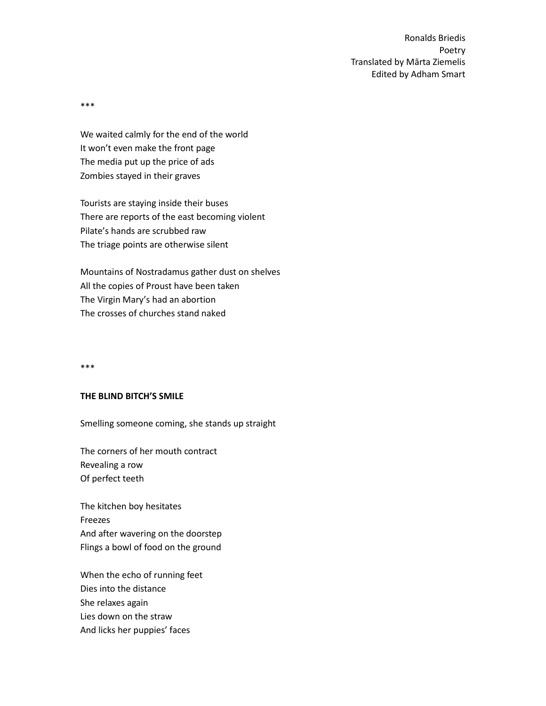\*\*\*

We waited calmly for the end of the world It won't even make the front page The media put up the price of ads Zombies stayed in their graves

Tourists are staying inside their buses There are reports of the east becoming violent Pilate's hands are scrubbed raw The triage points are otherwise silent

Mountains of Nostradamus gather dust on shelves All the copies of Proust have been taken The Virgin Mary's had an abortion The crosses of churches stand naked

\*\*\*

#### **THE BLIND BITCH'S SMILE**

Smelling someone coming, she stands up straight

The corners of her mouth contract Revealing a row Of perfect teeth

The kitchen boy hesitates Freezes And after wavering on the doorstep Flings a bowl of food on the ground

When the echo of running feet Dies into the distance She relaxes again Lies down on the straw And licks her puppies' faces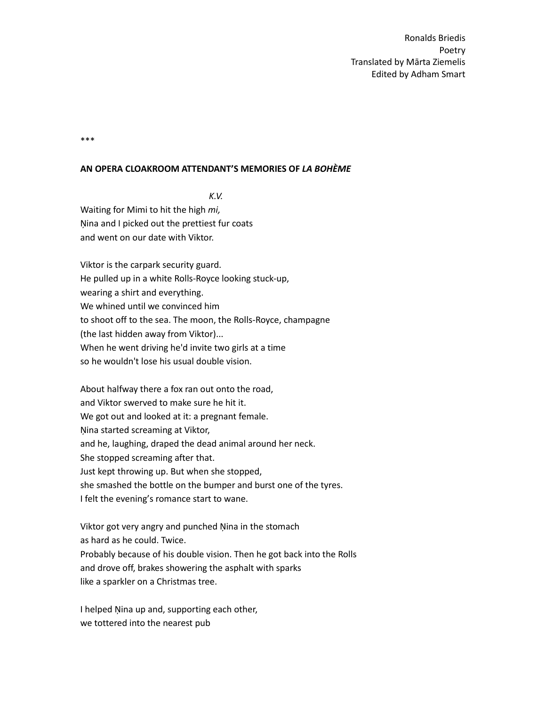\*\*\*

### **AN OPERA CLOAKROOM ATTENDANT'S MEMORIES OF** *LA BOHÈME*

 *K.V.*

Waiting for Mimi to hit the high *mi,* Ņina and I picked out the prettiest fur coats and went on our date with Viktor.

Viktor is the carpark security guard. He pulled up in a white Rolls-Royce looking stuck-up, wearing a shirt and everything. We whined until we convinced him to shoot off to the sea. The moon, the Rolls-Royce, champagne (the last hidden away from Viktor)... When he went driving he'd invite two girls at a time so he wouldn't lose his usual double vision.

About halfway there a fox ran out onto the road, and Viktor swerved to make sure he hit it. We got out and looked at it: a pregnant female. Ņina started screaming at Viktor, and he, laughing, draped the dead animal around her neck. She stopped screaming after that. Just kept throwing up. But when she stopped, she smashed the bottle on the bumper and burst one of the tyres. I felt the evening's romance start to wane.

Viktor got very angry and punched Ņina in the stomach as hard as he could. Twice. Probably because of his double vision. Then he got back into the Rolls and drove off, brakes showering the asphalt with sparks like a sparkler on a Christmas tree.

I helped Ņina up and, supporting each other, we tottered into the nearest pub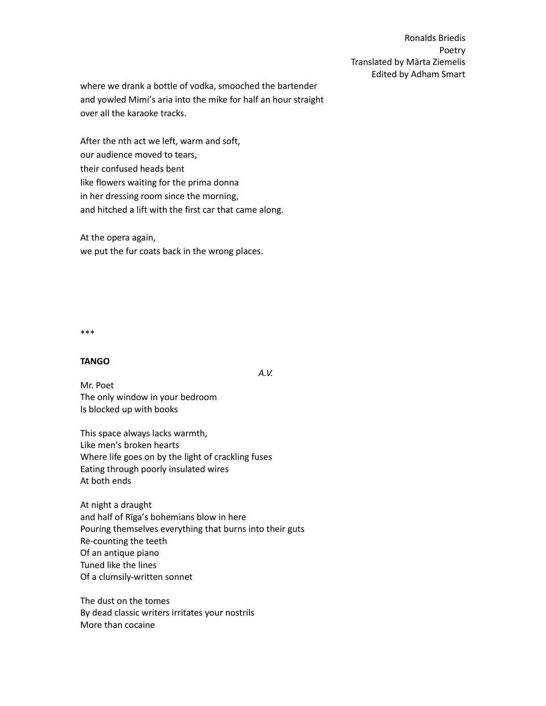where we drank a bottle of vodka, smooched the bartender and yowled Mimi's aria into the mike for half an hour straight over all the karaoke tracks.

After the nth act we left, warm and soft, our audience moved to tears, their confused heads bent like flowers waiting for the prima donna in her dressing room since the morning, and hitched a lift with the first car that came along.

At the opera again, we put the fur coats back in the wrong places.

\*\*\*

### **TANGO**

 *A.V.*

Mr. Poet The only window in your bedroom Is blocked up with books

This space always lacks warmth, Like men's broken hearts Where life goes on by the light of crackling fuses Eating through poorly insulated wires At both ends

At night a draught and half of Rīga's bohemians blow in here Pouring themselves everything that burns into their guts Re-counting the teeth Of an antique piano Tuned like the lines Of a clumsily-written sonnet

The dust on the tomes By dead classic writers irritates your nostrils More than cocaine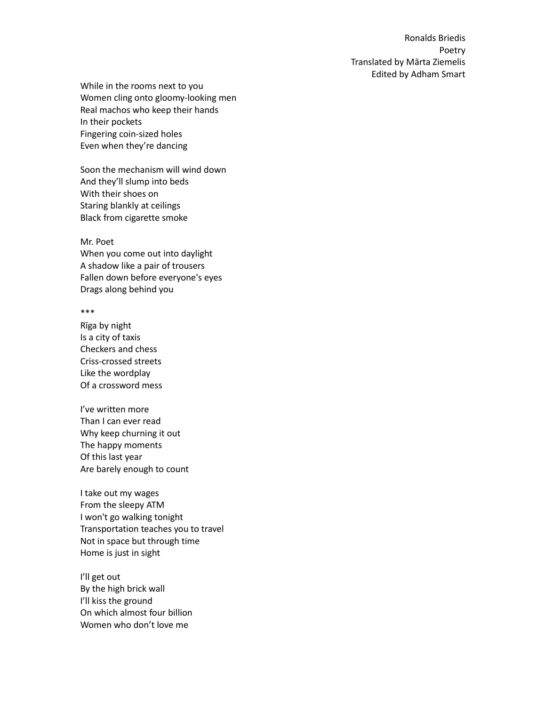While in the rooms next to you Women cling onto gloomy-looking men Real machos who keep their hands In their pockets Fingering coin-sized holes Even when they're dancing

Soon the mechanism will wind down And they'll slump into beds With their shoes on Staring blankly at ceilings Black from cigarette smoke

Mr. Poet When you come out into daylight A shadow like a pair of trousers Fallen down before everyone's eyes Drags along behind you

\*\*\*

Rīga by night Is a city of taxis Checkers and chess Criss-crossed streets Like the wordplay Of a crossword mess

I've written more Than I can ever read Why keep churning it out The happy moments Of this last year Are barely enough to count

I take out my wages From the sleepy ATM I won't go walking tonight Transportation teaches you to travel Not in space but through time Home is just in sight

I'll get out By the high brick wall I'll kiss the ground On which almost four billion Women who don't love me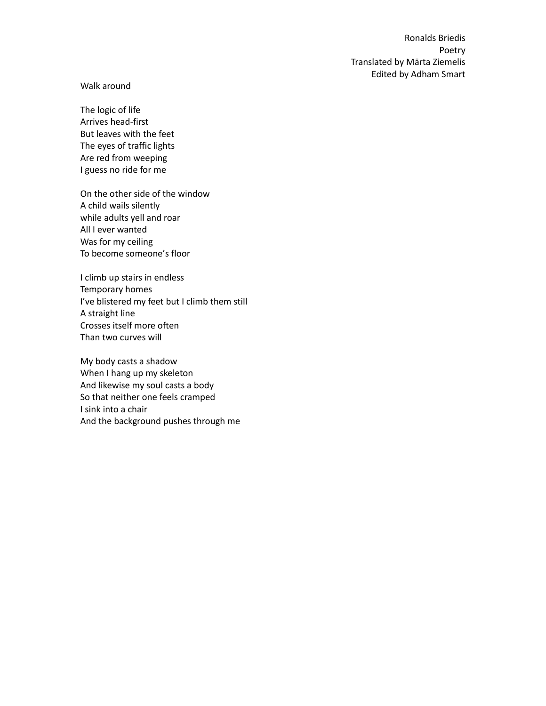## Walk around

The logic of life Arrives head-first But leaves with the feet The eyes of traffic lights Are red from weeping I guess no ride for me

On the other side of the window A child wails silently while adults yell and roar All I ever wanted Was for my ceiling To become someone's floor

I climb up stairs in endless Temporary homes I've blistered my feet but I climb them still A straight line Crosses itself more often Than two curves will

My body casts a shadow When I hang up my skeleton And likewise my soul casts a body So that neither one feels cramped I sink into a chair And the background pushes through me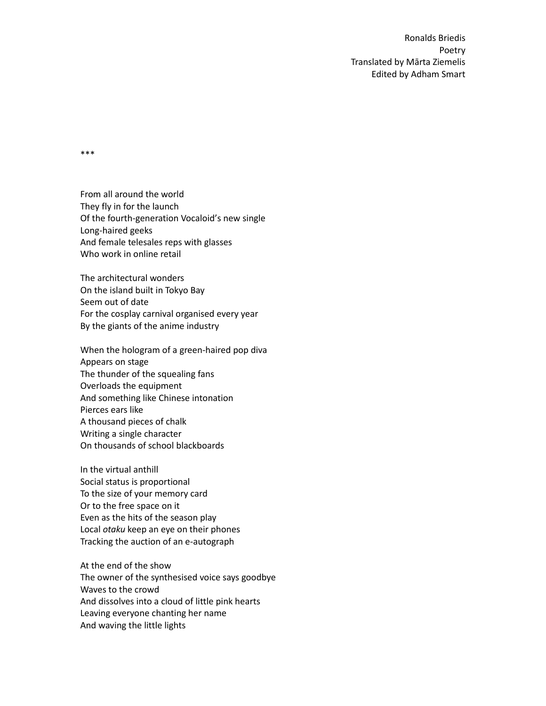\*\*\*

From all around the world They fly in for the launch Of the fourth-generation Vocaloid's new single Long-haired geeks And female telesales reps with glasses Who work in online retail

The architectural wonders On the island built in Tokyo Bay Seem out of date For the cosplay carnival organised every year By the giants of the anime industry

When the hologram of a green-haired pop diva Appears on stage The thunder of the squealing fans Overloads the equipment And something like Chinese intonation Pierces ears like A thousand pieces of chalk Writing a single character On thousands of school blackboards

In the virtual anthill Social status is proportional To the size of your memory card Or to the free space on it Even as the hits of the season play Local *otaku* keep an eye on their phones Tracking the auction of an e-autograph

At the end of the show The owner of the synthesised voice says goodbye Waves to the crowd And dissolves into a cloud of little pink hearts Leaving everyone chanting her name And waving the little lights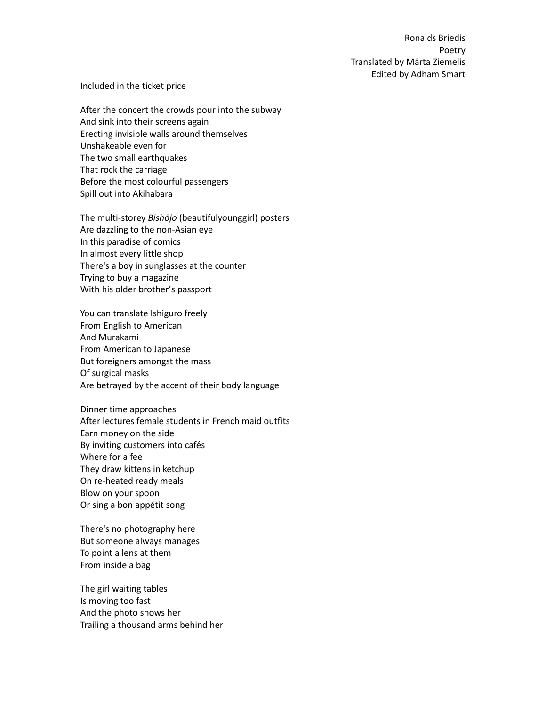### Included in the ticket price

After the concert the crowds pour into the subway And sink into their screens again Erecting invisible walls around themselves Unshakeable even for The two small earthquakes That rock the carriage Before the most colourful passengers Spill out into Akihabara

The multi-storey *Bishōjo* (beautifulyounggirl) posters Are dazzling to the non-Asian eye In this paradise of comics In almost every little shop There's a boy in sunglasses at the counter Trying to buy a magazine With his older brother's passport

You can translate Ishiguro freely From English to American And Murakami From American to Japanese But foreigners amongst the mass Of surgical masks Are betrayed by the accent of their body language

Dinner time approaches After lectures female students in French maid outfits Earn money on the side By inviting customers into cafés Where for a fee They draw kittens in ketchup On re-heated ready meals Blow on your spoon Or sing a bon appétit song

There's no photography here But someone always manages To point a lens at them From inside a bag

The girl waiting tables Is moving too fast And the photo shows her Trailing a thousand arms behind her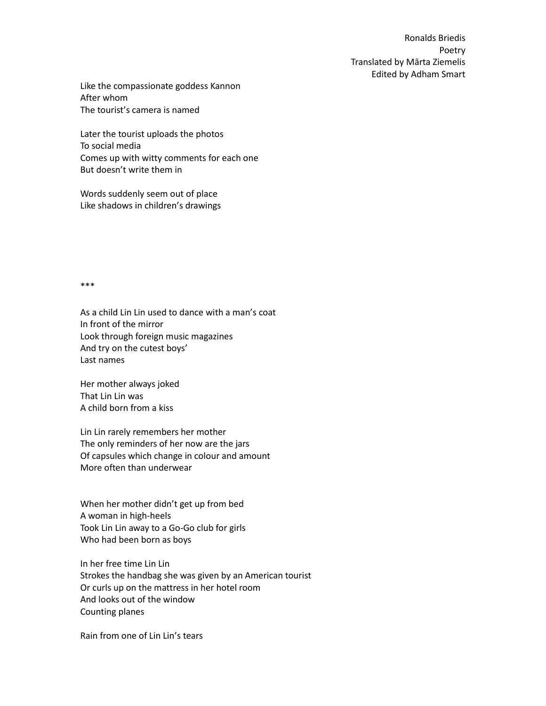Like the compassionate goddess Kannon After whom The tourist's camera is named

Later the tourist uploads the photos To social media Comes up with witty comments for each one But doesn't write them in

Words suddenly seem out of place Like shadows in children's drawings

\*\*\*

As a child Lin Lin used to dance with a man's coat In front of the mirror Look through foreign music magazines And try on the cutest boys' Last names

Her mother always joked That Lin Lin was A child born from a kiss

Lin Lin rarely remembers her mother The only reminders of her now are the jars Of capsules which change in colour and amount More often than underwear

When her mother didn't get up from bed A woman in high-heels Took Lin Lin away to a Go-Go club for girls Who had been born as boys

In her free time Lin Lin Strokes the handbag she was given by an American tourist Or curls up on the mattress in her hotel room And looks out of the window Counting planes

Rain from one of Lin Lin's tears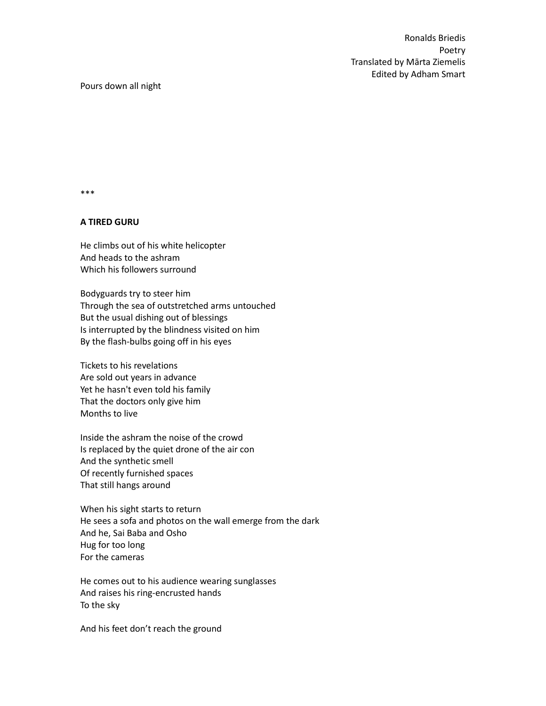\*\*\*

## **A TIRED GURU**

He climbs out of his white helicopter And heads to the ashram Which his followers surround

Bodyguards try to steer him Through the sea of outstretched arms untouched But the usual dishing out of blessings Is interrupted by the blindness visited on him By the flash-bulbs going off in his eyes

Tickets to his revelations Are sold out years in advance Yet he hasn't even told his family That the doctors only give him Months to live

Inside the ashram the noise of the crowd Is replaced by the quiet drone of the air con And the synthetic smell Of recently furnished spaces That still hangs around

When his sight starts to return He sees a sofa and photos on the wall emerge from the dark And he, Sai Baba and Osho Hug for too long For the cameras

He comes out to his audience wearing sunglasses And raises his ring-encrusted hands To the sky

And his feet don't reach the ground